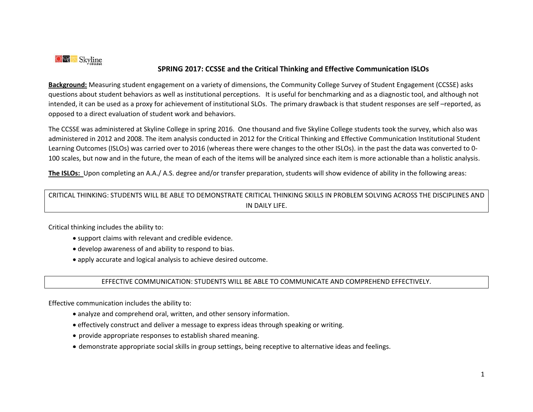

## **SPRING 2017: CCSSE and the Critical Thinking and Effective Communication ISLOs**

**Background:** Measuring student engagement on a variety of dimensions, the Community College Survey of Student Engagement (CCSSE) asks questions about student behaviors as well as institutional perceptions. It is useful for benchmarking and as a diagnostic tool, and although not intended, it can be used as a proxy for achievement of institutional SLOs. The primary drawback is that student responses are self –reported, as opposed to a direct evaluation of student work and behaviors.

The CCSSE was administered at Skyline College in spring 2016. One thousand and five Skyline College students took the survey, which also was administered in 2012 and 2008. The item analysis conducted in 2012 for the Critical Thinking and Effective Communication Institutional Student Learning Outcomes (ISLOs) was carried over to 2016 (whereas there were changes to the other ISLOs). in the past the data was converted to 0- 100 scales, but now and in the future, the mean of each of the items will be analyzed since each item is more actionable than a holistic analysis.

**The ISLOs:** Upon completing an A.A./ A.S. degree and/or transfer preparation, students will show evidence of ability in the following areas:

## CRITICAL THINKING: STUDENTS WILL BE ABLE TO DEMONSTRATE CRITICAL THINKING SKILLS IN PROBLEM SOLVING ACROSS THE DISCIPLINES AND IN DAILY LIFE.

Critical thinking includes the ability to:

- support claims with relevant and credible evidence.
- develop awareness of and ability to respond to bias.
- apply accurate and logical analysis to achieve desired outcome.

## EFFECTIVE COMMUNICATION: STUDENTS WILL BE ABLE TO COMMUNICATE AND COMPREHEND EFFECTIVELY.

Effective communication includes the ability to:

- analyze and comprehend oral, written, and other sensory information.
- effectively construct and deliver a message to express ideas through speaking or writing.
- provide appropriate responses to establish shared meaning.
- demonstrate appropriate social skills in group settings, being receptive to alternative ideas and feelings.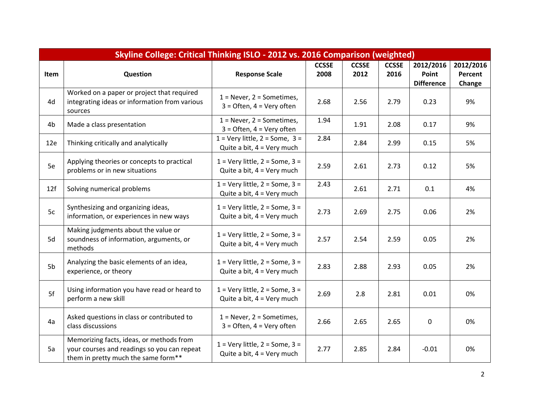| Skyline College: Critical Thinking ISLO - 2012 vs. 2016 Comparison (weighted) |                                                                                                                                |                                                                             |                      |                      |                      |                    |                      |  |  |  |
|-------------------------------------------------------------------------------|--------------------------------------------------------------------------------------------------------------------------------|-----------------------------------------------------------------------------|----------------------|----------------------|----------------------|--------------------|----------------------|--|--|--|
| Item                                                                          | Question                                                                                                                       | <b>Response Scale</b>                                                       | <b>CCSSE</b><br>2008 | <b>CCSSE</b><br>2012 | <b>CCSSE</b><br>2016 | 2012/2016<br>Point | 2012/2016<br>Percent |  |  |  |
|                                                                               |                                                                                                                                |                                                                             |                      |                      |                      | <b>Difference</b>  | Change               |  |  |  |
| 4d                                                                            | Worked on a paper or project that required<br>integrating ideas or information from various<br>sources                         | $1 =$ Never, $2 =$ Sometimes,<br>$3 =$ Often, $4 =$ Very often              | 2.68                 | 2.56                 | 2.79                 | 0.23               | 9%                   |  |  |  |
| 4b                                                                            | Made a class presentation                                                                                                      | $1 =$ Never, $2 =$ Sometimes,<br>$3 =$ Often, $4 =$ Very often              | 1.94                 | 1.91                 | 2.08                 | 0.17               | 9%                   |  |  |  |
| 12e                                                                           | Thinking critically and analytically                                                                                           | $1 =$ Very little, $2 =$ Some, $3 =$<br>Quite a bit, $4 = \text{Very much}$ | 2.84                 | 2.84                 | 2.99                 | 0.15               | 5%                   |  |  |  |
| 5e                                                                            | Applying theories or concepts to practical<br>problems or in new situations                                                    | $1 =$ Very little, $2 =$ Some, $3 =$<br>Quite a bit, $4 = \text{Very much}$ | 2.59                 | 2.61                 | 2.73                 | 0.12               | 5%                   |  |  |  |
| 12f                                                                           | Solving numerical problems                                                                                                     | $1 =$ Very little, $2 =$ Some, $3 =$<br>Quite a bit, $4 = \text{Very much}$ | 2.43                 | 2.61                 | 2.71                 | 0.1                | 4%                   |  |  |  |
| 5c                                                                            | Synthesizing and organizing ideas,<br>information, or experiences in new ways                                                  | $1 =$ Very little, $2 =$ Some, $3 =$<br>Quite a bit, $4 = \text{Very much}$ | 2.73                 | 2.69                 | 2.75                 | 0.06               | 2%                   |  |  |  |
| 5d                                                                            | Making judgments about the value or<br>soundness of information, arguments, or<br>methods                                      | $1 =$ Very little, $2 =$ Some, $3 =$<br>Quite a bit, $4 = \text{Very much}$ | 2.57                 | 2.54                 | 2.59                 | 0.05               | 2%                   |  |  |  |
| 5b                                                                            | Analyzing the basic elements of an idea,<br>experience, or theory                                                              | $1 =$ Very little, $2 =$ Some, $3 =$<br>Quite a bit, $4 = \text{Very much}$ | 2.83                 | 2.88                 | 2.93                 | 0.05               | 2%                   |  |  |  |
| 5f                                                                            | Using information you have read or heard to<br>perform a new skill                                                             | $1 =$ Very little, $2 =$ Some, $3 =$<br>Quite a bit, $4 = \text{Very much}$ | 2.69                 | 2.8                  | 2.81                 | 0.01               | 0%                   |  |  |  |
| 4a                                                                            | Asked questions in class or contributed to<br>class discussions                                                                | $1 =$ Never, $2 =$ Sometimes,<br>$3 =$ Often, $4 =$ Very often              | 2.66                 | 2.65                 | 2.65                 | $\mathbf 0$        | 0%                   |  |  |  |
| 5a                                                                            | Memorizing facts, ideas, or methods from<br>your courses and readings so you can repeat<br>them in pretty much the same form** | $1 =$ Very little, $2 =$ Some, $3 =$<br>Quite a bit, $4 = \text{Very much}$ | 2.77                 | 2.85                 | 2.84                 | $-0.01$            | 0%                   |  |  |  |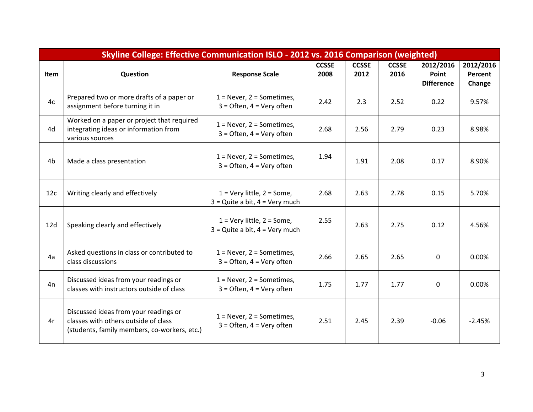| Skyline College: Effective Communication ISLO - 2012 vs. 2016 Comparison (weighted) |                                                                                                                               |                                                                      |                      |                      |                      |                                         |                                |  |  |  |
|-------------------------------------------------------------------------------------|-------------------------------------------------------------------------------------------------------------------------------|----------------------------------------------------------------------|----------------------|----------------------|----------------------|-----------------------------------------|--------------------------------|--|--|--|
| <b>Item</b>                                                                         | Question                                                                                                                      | <b>Response Scale</b>                                                | <b>CCSSE</b><br>2008 | <b>CCSSE</b><br>2012 | <b>CCSSE</b><br>2016 | 2012/2016<br>Point<br><b>Difference</b> | 2012/2016<br>Percent<br>Change |  |  |  |
| 4c                                                                                  | Prepared two or more drafts of a paper or<br>assignment before turning it in                                                  | $1 =$ Never, $2 =$ Sometimes,<br>$3 =$ Often, $4 =$ Very often       | 2.42                 | 2.3                  | 2.52                 | 0.22                                    | 9.57%                          |  |  |  |
| 4d                                                                                  | Worked on a paper or project that required<br>integrating ideas or information from<br>various sources                        | $1 =$ Never, $2 =$ Sometimes,<br>$3 =$ Often, $4 =$ Very often       | 2.68                 | 2.56                 | 2.79                 | 0.23                                    | 8.98%                          |  |  |  |
| 4b                                                                                  | Made a class presentation                                                                                                     | $1 =$ Never, $2 =$ Sometimes,<br>$3 =$ Often, $4 =$ Very often       | 1.94                 | 1.91                 | 2.08                 | 0.17                                    | 8.90%                          |  |  |  |
| 12c                                                                                 | Writing clearly and effectively                                                                                               | $1 =$ Very little, $2 =$ Some,<br>$3$ = Quite a bit, $4$ = Very much | 2.68                 | 2.63                 | 2.78                 | 0.15                                    | 5.70%                          |  |  |  |
| 12d                                                                                 | Speaking clearly and effectively                                                                                              | $1 =$ Very little, $2 =$ Some,<br>$3 =$ Quite a bit, $4 =$ Very much | 2.55                 | 2.63                 | 2.75                 | 0.12                                    | 4.56%                          |  |  |  |
| 4a                                                                                  | Asked questions in class or contributed to<br>class discussions                                                               | $1 =$ Never, $2 =$ Sometimes,<br>$3 =$ Often, $4 =$ Very often       | 2.66                 | 2.65                 | 2.65                 | $\mathbf 0$                             | 0.00%                          |  |  |  |
| 4n                                                                                  | Discussed ideas from your readings or<br>classes with instructors outside of class                                            | $1 =$ Never, $2 =$ Sometimes,<br>$3 =$ Often, $4 =$ Very often       | 1.75                 | 1.77                 | 1.77                 | $\mathbf 0$                             | 0.00%                          |  |  |  |
| 4r                                                                                  | Discussed ideas from your readings or<br>classes with others outside of class<br>(students, family members, co-workers, etc.) | $1 =$ Never, $2 =$ Sometimes,<br>$3 =$ Often, $4 =$ Very often       | 2.51                 | 2.45                 | 2.39                 | $-0.06$                                 | $-2.45%$                       |  |  |  |